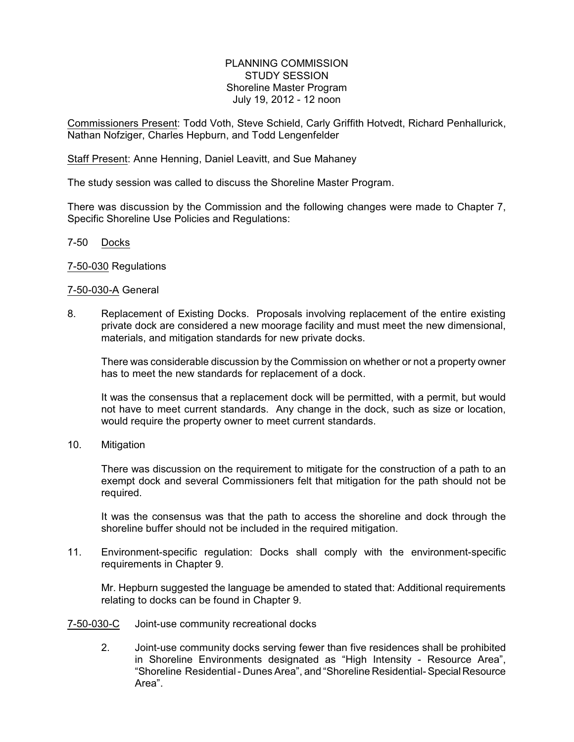## PLANNING COMMISSION STUDY SESSION Shoreline Master Program July 19, 2012 - 12 noon

Commissioners Present: Todd Voth, Steve Schield, Carly Griffith Hotvedt, Richard Penhallurick, Nathan Nofziger, Charles Hepburn, and Todd Lengenfelder

Staff Present: Anne Henning, Daniel Leavitt, and Sue Mahaney

The study session was called to discuss the Shoreline Master Program.

There was discussion by the Commission and the following changes were made to Chapter 7, Specific Shoreline Use Policies and Regulations:

7-50 Docks

7-50-030 Regulations

## 7-50-030-A General

8. Replacement of Existing Docks. Proposals involving replacement of the entire existing private dock are considered a new moorage facility and must meet the new dimensional, materials, and mitigation standards for new private docks.

There was considerable discussion by the Commission on whether or not a property owner has to meet the new standards for replacement of a dock.

It was the consensus that a replacement dock will be permitted, with a permit, but would not have to meet current standards. Any change in the dock, such as size or location, would require the property owner to meet current standards.

10. Mitigation

There was discussion on the requirement to mitigate for the construction of a path to an exempt dock and several Commissioners felt that mitigation for the path should not be required.

It was the consensus was that the path to access the shoreline and dock through the shoreline buffer should not be included in the required mitigation.

11. Environment-specific regulation: Docks shall comply with the environment-specific requirements in Chapter 9.

Mr. Hepburn suggested the language be amended to stated that: Additional requirements relating to docks can be found in Chapter 9.

## 7-50-030-C Joint-use community recreational docks

2. Joint-use community docks serving fewer than five residences shall be prohibited in Shoreline Environments designated as "High Intensity - Resource Area", "Shoreline Residential - Dunes Area", and "Shoreline Residential- Special Resource Area".